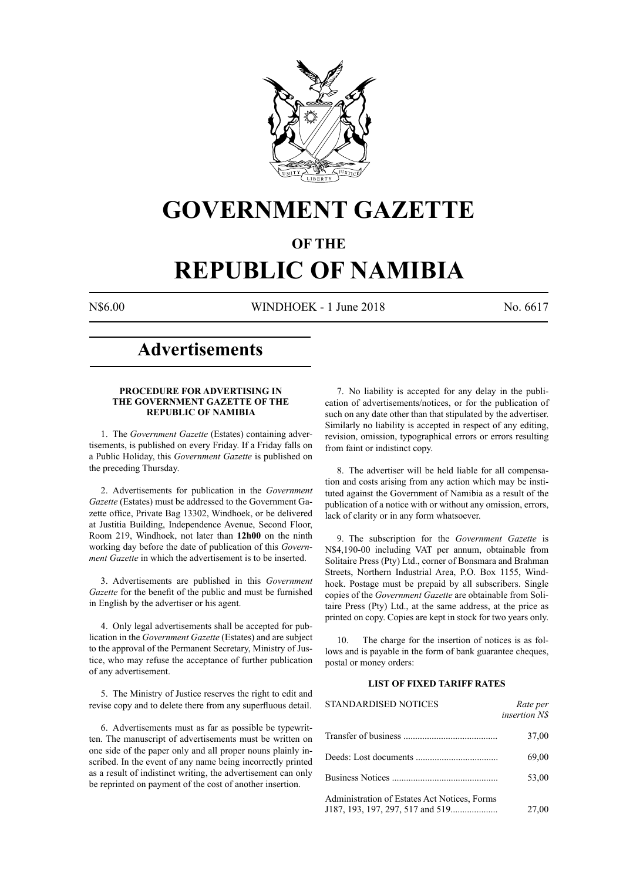

# **GOVERNMENT GAZETTE**

# **OF THE**

# **REPUBLIC OF NAMIBIA**

N\$6.00 WINDHOEK - 1 June 2018 No. 6617

# **Advertisements**

#### **PROCEDURE FOR ADVERTISING IN THE GOVERNMENT GAZETTE OF THE REPUBLIC OF NAMIBIA**

1. The *Government Gazette* (Estates) containing advertisements, is published on every Friday. If a Friday falls on a Public Holiday, this *Government Gazette* is published on the preceding Thursday.

2. Advertisements for publication in the *Government Gazette* (Estates) must be addressed to the Government Gazette office, Private Bag 13302, Windhoek, or be delivered at Justitia Building, Independence Avenue, Second Floor, Room 219, Windhoek, not later than **12h00** on the ninth working day before the date of publication of this *Government Gazette* in which the advertisement is to be inserted.

3. Advertisements are published in this *Government Gazette* for the benefit of the public and must be furnished in English by the advertiser or his agent.

4. Only legal advertisements shall be accepted for publication in the *Government Gazette* (Estates) and are subject to the approval of the Permanent Secretary, Ministry of Justice, who may refuse the acceptance of further publication of any advertisement.

5. The Ministry of Justice reserves the right to edit and revise copy and to delete there from any superfluous detail.

6. Advertisements must as far as possible be typewritten. The manuscript of advertisements must be written on one side of the paper only and all proper nouns plainly inscribed. In the event of any name being incorrectly printed as a result of indistinct writing, the advertisement can only be reprinted on payment of the cost of another insertion.

7. No liability is accepted for any delay in the publication of advertisements/notices, or for the publication of such on any date other than that stipulated by the advertiser. Similarly no liability is accepted in respect of any editing, revision, omission, typographical errors or errors resulting from faint or indistinct copy.

8. The advertiser will be held liable for all compensation and costs arising from any action which may be instituted against the Government of Namibia as a result of the publication of a notice with or without any omission, errors, lack of clarity or in any form whatsoever.

9. The subscription for the *Government Gazette* is N\$4,190-00 including VAT per annum, obtainable from Solitaire Press (Pty) Ltd., corner of Bonsmara and Brahman Streets, Northern Industrial Area, P.O. Box 1155, Windhoek. Postage must be prepaid by all subscribers. Single copies of the *Government Gazette* are obtainable from Solitaire Press (Pty) Ltd., at the same address, at the price as printed on copy. Copies are kept in stock for two years only.

10. The charge for the insertion of notices is as follows and is payable in the form of bank guarantee cheques, postal or money orders:

#### **LIST OF FIXED TARIFF RATES**

| <b>STANDARDISED NOTICES</b>                  | Rate per<br><i>insertion NS</i> |
|----------------------------------------------|---------------------------------|
|                                              | 37,00                           |
|                                              | 69,00                           |
|                                              | 53,00                           |
| Administration of Estates Act Notices, Forms | 27,00                           |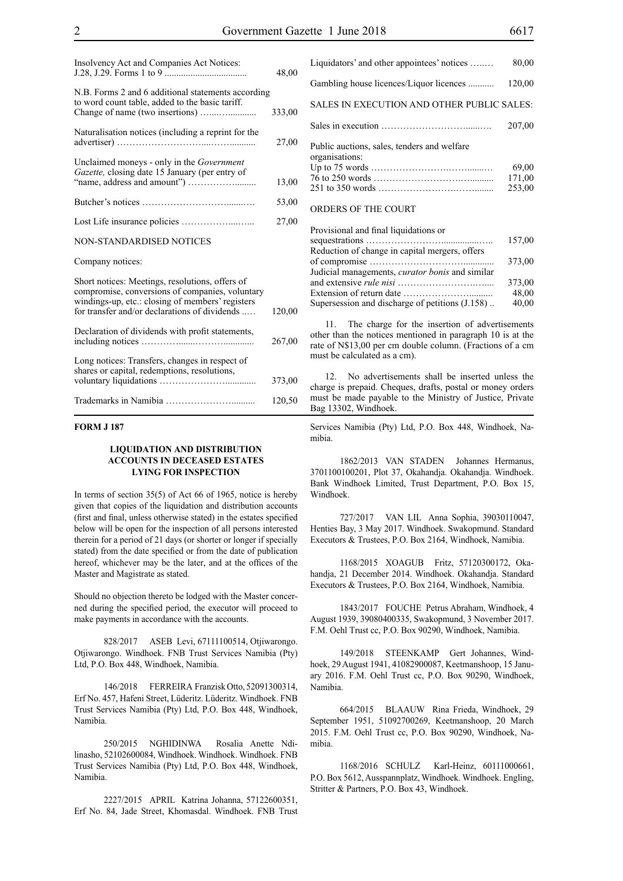| Insolvency Act and Companies Act Notices:                                                                                                                                                               | 48,00  |
|---------------------------------------------------------------------------------------------------------------------------------------------------------------------------------------------------------|--------|
| N.B. Forms 2 and 6 additional statements according<br>to word count table, added to the basic tariff.                                                                                                   | 333,00 |
| Naturalisation notices (including a reprint for the                                                                                                                                                     | 27,00  |
| Unclaimed moneys - only in the <i>Government</i><br>Gazette, closing date 15 January (per entry of                                                                                                      | 13,00  |
|                                                                                                                                                                                                         | 53,00  |
|                                                                                                                                                                                                         | 27,00  |
| <b>NON-STANDARDISED NOTICES</b>                                                                                                                                                                         |        |
| Company notices:                                                                                                                                                                                        |        |
| Short notices: Meetings, resolutions, offers of<br>compromise, conversions of companies, voluntary<br>windings-up, etc.: closing of members' registers<br>for transfer and/or declarations of dividends | 120,00 |
| Declaration of dividends with profit statements,                                                                                                                                                        | 267,00 |
| Long notices: Transfers, changes in respect of<br>shares or capital, redemptions, resolutions,                                                                                                          | 373,00 |
|                                                                                                                                                                                                         | 120,50 |

#### **FORM J 187**

#### **LIQUIDATION AND DISTRIBUTION ACCOUNTS IN DECEASED ESTATES LYING FOR INSPECTION**

In terms of section 35(5) of Act 66 of 1965, notice is hereby given that copies of the liquidation and distribution accounts (first and final, unless otherwise stated) in the estates specified below will be open for the inspection of all persons interested therein for a period of 21 days (or shorter or longer if specially stated) from the date specified or from the date of publication hereof, whichever may be the later, and at the offices of the Master and Magistrate as stated.

Should no objection thereto be lodged with the Master concerned during the specified period, the executor will proceed to make payments in accordance with the accounts.

828/2017 ASEB Levi, 67111100514, Otjiwarongo. Otjiwarongo. Windhoek. FNB Trust Services Namibia (Pty) Ltd, P.O. Box 448, Windhoek, Namibia.

146/2018 FERREIRA Franzisk Otto, 52091300314, Erf No. 457, Hafeni Street, Lüderitz. Lüderitz. Windhoek. FNB Trust Services Namibia (Pty) Ltd, P.O. Box 448, Windhoek, Namibia.

250/2015 NGHIDINWA Rosalia Anette Ndilinasho, 52102600084, Windhoek. Windhoek. Windhoek. FNB Trust Services Namibia (Pty) Ltd, P.O. Box 448, Windhoek, Namibia.

2227/2015 APRIL Katrina Johanna, 57122600351, Erf No. 84, Jade Street, Khomasdal. Windhoek. FNB Trust

| Liquidators' and other appointees' notices                    | 80,00                     |
|---------------------------------------------------------------|---------------------------|
| Gambling house licences/Liquor licences                       | 120,00                    |
| SALES IN EXECUTION AND OTHER PUBLIC SALES:                    |                           |
|                                                               | 207,00                    |
| Public auctions, sales, tenders and welfare<br>organisations: | 69,00<br>171,00<br>253,00 |

#### ORDERS OF THE COURT

| Provisional and final liquidations or                  |        |
|--------------------------------------------------------|--------|
|                                                        | 157,00 |
| Reduction of change in capital mergers, offers         |        |
|                                                        | 373,00 |
| Judicial managements, <i>curator bonis</i> and similar |        |
|                                                        | 373,00 |
|                                                        | 48,00  |
| Supersession and discharge of petitions $(1.158)$ .    | 40,00  |
|                                                        |        |

11. The charge for the insertion of advertisements other than the notices mentioned in paragraph 10 is at the rate of N\$13,00 per cm double column. (Fractions of a cm must be calculated as a cm).

12. No advertisements shall be inserted unless the charge is prepaid. Cheques, drafts, postal or money orders must be made payable to the Ministry of Justice, Private Bag 13302, Windhoek.

Services Namibia (Pty) Ltd, P.O. Box 448, Windhoek, Namibia.

1862/2013 VAN STADEN Johannes Hermanus, 3701100100201, Plot 37, Okahandja. Okahandja. Windhoek. Bank Windhoek Limited, Trust Department, P.O. Box 15, Windhoek.

727/2017 VAN LIL Anna Sophia, 39030110047, Henties Bay, 3 May 2017. Windhoek. Swakopmund. Standard Executors & Trustees, P.O. Box 2164, Windhoek, Namibia.

1168/2015 XOAGUB Fritz, 57120300172, Okahandja, 21 December 2014. Windhoek. Okahandja. Standard Executors & Trustees, P.O. Box 2164, Windhoek, Namibia.

1843/2017 FOUCHE Petrus Abraham, Windhoek, 4 August 1939, 39080400335, Swakopmund, 3 November 2017. F.M. Oehl Trust cc, P.O. Box 90290, Windhoek, Namibia.

149/2018 STEENKAMP Gert Johannes, Windhoek, 29 August 1941, 41082900087, Keetmanshoop, 15 January 2016. F.M. Oehl Trust cc, P.O. Box 90290, Windhoek, Namibia.

664/2015 BLAAUW Rina Frieda, Windhoek, 29 September 1951, 51092700269, Keetmanshoop, 20 March 2015. F.M. Oehl Trust cc, P.O. Box 90290, Windhoek, Namibia.

1168/2016 SCHULZ Karl-Heinz, 60111000661, P.O. Box 5612, Ausspannplatz, Windhoek. Windhoek. Engling, Stritter & Partners, P.O. Box 43, Windhoek.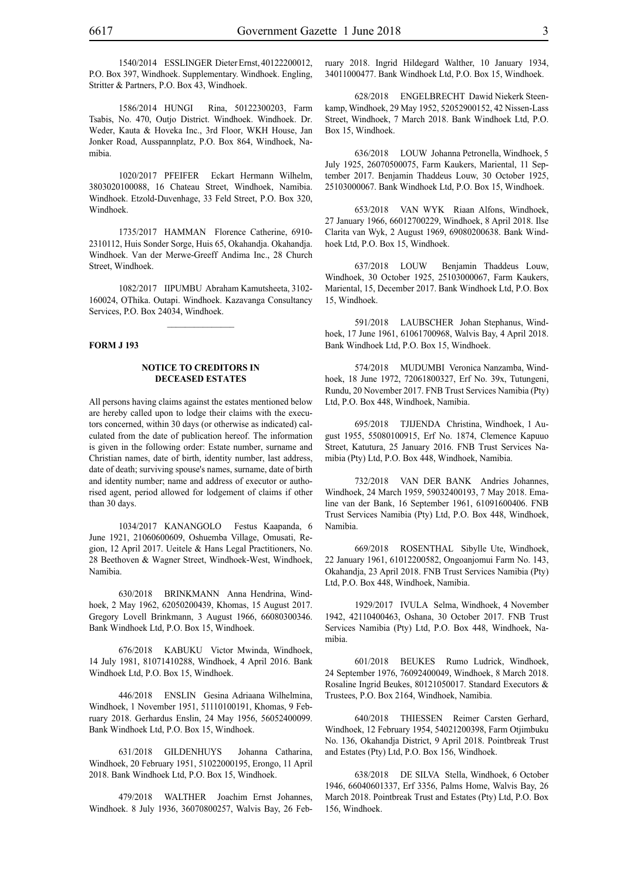1586/2014 HUNGI Rina, 50122300203, Farm Tsabis, No. 470, Outjo District. Windhoek. Windhoek. Dr. Weder, Kauta & Hoveka Inc., 3rd Floor, WKH House, Jan Jonker Road, Ausspannplatz, P.O. Box 864, Windhoek, Namibia.

1020/2017 PFEIFER Eckart Hermann Wilhelm, 3803020100088, 16 Chateau Street, Windhoek, Namibia. Windhoek. Etzold-Duvenhage, 33 Feld Street, P.O. Box 320, Windhoek.

1735/2017 HAMMAN Florence Catherine, 6910- 2310112, Huis Sonder Sorge, Huis 65, Okahandja. Okahandja. Windhoek. Van der Merwe-Greeff Andima Inc., 28 Church Street, Windhoek.

1082/2017 IIPUMBU Abraham Kamutsheeta, 3102- 160024, OThika. Outapi. Windhoek. Kazavanga Consultancy Services, P.O. Box 24034, Windhoek.

 $\frac{1}{2}$ 

#### **FORM J 193**

#### **NOTICE TO CREDITORS IN DECEASED ESTATES**

All persons having claims against the estates mentioned below are hereby called upon to lodge their claims with the executors concerned, within 30 days (or otherwise as indicated) calculated from the date of publication hereof. The information is given in the following order: Estate number, surname and Christian names, date of birth, identity number, last address, date of death; surviving spouse's names, surname, date of birth and identity number; name and address of executor or authorised agent, period allowed for lodgement of claims if other than 30 days.

1034/2017 KANANGOLO Festus Kaapanda, 6 June 1921, 21060600609, Oshuemba Village, Omusati, Region, 12 April 2017. Ueitele & Hans Legal Practitioners, No. 28 Beethoven & Wagner Street, Windhoek-West, Windhoek, Namibia.

630/2018 BRINKMANN Anna Hendrina, Windhoek, 2 May 1962, 62050200439, Khomas, 15 August 2017. Gregory Lovell Brinkmann, 3 August 1966, 66080300346. Bank Windhoek Ltd, P.O. Box 15, Windhoek.

676/2018 KABUKU Victor Mwinda, Windhoek, 14 July 1981, 81071410288, Windhoek, 4 April 2016. Bank Windhoek Ltd, P.O. Box 15, Windhoek.

446/2018 ENSLIN Gesina Adriaana Wilhelmina, Windhoek, 1 November 1951, 51110100191, Khomas, 9 February 2018. Gerhardus Enslin, 24 May 1956, 56052400099. Bank Windhoek Ltd, P.O. Box 15, Windhoek.

631/2018 GILDENHUYS Johanna Catharina, Windhoek, 20 February 1951, 51022000195, Erongo, 11 April 2018. Bank Windhoek Ltd, P.O. Box 15, Windhoek.

479/2018 WALTHER Joachim Ernst Johannes, Windhoek. 8 July 1936, 36070800257, Walvis Bay, 26 February 2018. Ingrid Hildegard Walther, 10 January 1934, 34011000477. Bank Windhoek Ltd, P.O. Box 15, Windhoek.

628/2018 ENGELBRECHT Dawid Niekerk Steenkamp, Windhoek, 29 May 1952, 52052900152, 42 Nissen-Lass Street, Windhoek, 7 March 2018. Bank Windhoek Ltd, P.O. Box 15, Windhoek.

636/2018 LOUW Johanna Petronella, Windhoek, 5 July 1925, 26070500075, Farm Kaukers, Mariental, 11 September 2017. Benjamin Thaddeus Louw, 30 October 1925, 25103000067. Bank Windhoek Ltd, P.O. Box 15, Windhoek.

653/2018 VAN WYK Riaan Alfons, Windhoek, 27 January 1966, 66012700229, Windhoek, 8 April 2018. Ilse Clarita van Wyk, 2 August 1969, 69080200638. Bank Windhoek Ltd, P.O. Box 15, Windhoek.

637/2018 LOUW Benjamin Thaddeus Louw, Windhoek, 30 October 1925, 25103000067, Farm Kaukers, Mariental, 15, December 2017. Bank Windhoek Ltd, P.O. Box 15, Windhoek.

591/2018 LAUBSCHER Johan Stephanus, Windhoek, 17 June 1961, 61061700968, Walvis Bay, 4 April 2018. Bank Windhoek Ltd, P.O. Box 15, Windhoek.

574/2018 MUDUMBI Veronica Nanzamba, Windhoek, 18 June 1972, 72061800327, Erf No. 39x, Tutungeni, Rundu, 20 November 2017. FNB Trust Services Namibia (Pty) Ltd, P.O. Box 448, Windhoek, Namibia.

695/2018 TJIJENDA Christina, Windhoek, 1 August 1955, 55080100915, Erf No. 1874, Clemence Kapuuo Street, Katutura, 25 January 2016. FNB Trust Services Namibia (Pty) Ltd, P.O. Box 448, Windhoek, Namibia.

732/2018 VAN DER BANK Andries Johannes, Windhoek, 24 March 1959, 59032400193, 7 May 2018. Emaline van der Bank, 16 September 1961, 61091600406. FNB Trust Services Namibia (Pty) Ltd, P.O. Box 448, Windhoek, Namibia.

669/2018 ROSENTHAL Sibylle Ute, Windhoek, 22 January 1961, 61012200582, Ongoanjomui Farm No. 143, Okahandja, 23 April 2018. FNB Trust Services Namibia (Pty) Ltd, P.O. Box 448, Windhoek, Namibia.

1929/2017 IVULA Selma, Windhoek, 4 November 1942, 42110400463, Oshana, 30 October 2017. FNB Trust Services Namibia (Pty) Ltd, P.O. Box 448, Windhoek, Namibia.

601/2018 BEUKES Rumo Ludrick, Windhoek, 24 September 1976, 76092400049, Windhoek, 8 March 2018. Rosaline Ingrid Beukes, 80121050017. Standard Executors & Trustees, P.O. Box 2164, Windhoek, Namibia.

640/2018 THIESSEN Reimer Carsten Gerhard, Windhoek, 12 February 1954, 54021200398, Farm Otjimbuku No. 136, Okahandja District, 9 April 2018. Pointbreak Trust and Estates (Pty) Ltd, P.O. Box 156, Windhoek.

638/2018 DE SILVA Stella, Windhoek, 6 October 1946, 66040601337, Erf 3356, Palms Home, Walvis Bay, 26 March 2018. Pointbreak Trust and Estates (Pty) Ltd, P.O. Box 156, Windhoek.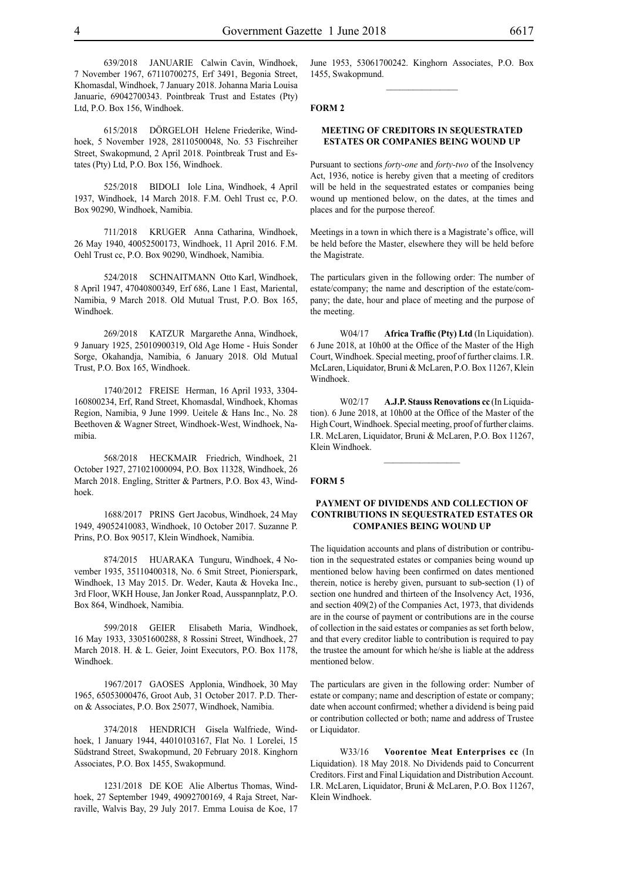639/2018 JANUARIE Calwin Cavin, Windhoek, 7 November 1967, 67110700275, Erf 3491, Begonia Street, Khomasdal, Windhoek, 7 January 2018. Johanna Maria Louisa Januarie, 69042700343. Pointbreak Trust and Estates (Pty) Ltd, P.O. Box 156, Windhoek.

615/2018 DÖRGELOH Helene Friederike, Windhoek, 5 November 1928, 28110500048, No. 53 Fischreiher Street, Swakopmund, 2 April 2018. Pointbreak Trust and Estates (Pty) Ltd, P.O. Box 156, Windhoek.

525/2018 BIDOLI Iole Lina, Windhoek, 4 April 1937, Windhoek, 14 March 2018. F.M. Oehl Trust cc, P.O. Box 90290, Windhoek, Namibia.

711/2018 KRUGER Anna Catharina, Windhoek, 26 May 1940, 40052500173, Windhoek, 11 April 2016. F.M. Oehl Trust cc, P.O. Box 90290, Windhoek, Namibia.

524/2018 SCHNAITMANN Otto Karl, Windhoek, 8 April 1947, 47040800349, Erf 686, Lane 1 East, Mariental, Namibia, 9 March 2018. Old Mutual Trust, P.O. Box 165, Windhoek.

269/2018 KATZUR Margarethe Anna, Windhoek, 9 January 1925, 25010900319, Old Age Home - Huis Sonder Sorge, Okahandja, Namibia, 6 January 2018. Old Mutual Trust, P.O. Box 165, Windhoek.

1740/2012 FREISE Herman, 16 April 1933, 3304- 160800234, Erf, Rand Street, Khomasdal, Windhoek, Khomas Region, Namibia, 9 June 1999. Ueitele & Hans Inc., No. 28 Beethoven & Wagner Street, Windhoek-West, Windhoek, Namibia.

568/2018 HECKMAIR Friedrich, Windhoek, 21 October 1927, 271021000094, P.O. Box 11328, Windhoek, 26 March 2018. Engling, Stritter & Partners, P.O. Box 43, Windhoek.

1688/2017 PRINS Gert Jacobus, Windhoek, 24 May 1949, 49052410083, Windhoek, 10 October 2017. Suzanne P. Prins, P.O. Box 90517, Klein Windhoek, Namibia.

874/2015 HUARAKA Tunguru, Windhoek, 4 November 1935, 35110400318, No. 6 Smit Street, Pionierspark, Windhoek, 13 May 2015. Dr. Weder, Kauta & Hoveka Inc., 3rd Floor, WKH House, Jan Jonker Road, Ausspannplatz, P.O. Box 864, Windhoek, Namibia.

599/2018 GEIER Elisabeth Maria, Windhoek, 16 May 1933, 33051600288, 8 Rossini Street, Windhoek, 27 March 2018. H. & L. Geier, Joint Executors, P.O. Box 1178, Windhoek.

1967/2017 GAOSES Applonia, Windhoek, 30 May 1965, 65053000476, Groot Aub, 31 October 2017. P.D. Theron & Associates, P.O. Box 25077, Windhoek, Namibia.

374/2018 HENDRICH Gisela Walfriede, Windhoek, 1 January 1944, 44010103167, Flat No. 1 Lorelei, 15 Südstrand Street, Swakopmund, 20 February 2018. Kinghorn Associates, P.O. Box 1455, Swakopmund.

1231/2018 DE KOE Alie Albertus Thomas, Windhoek, 27 September 1949, 49092700169, 4 Raja Street, Narraville, Walvis Bay, 29 July 2017. Emma Louisa de Koe, 17 June 1953, 53061700242. Kinghorn Associates, P.O. Box 1455, Swakopmund.  $\frac{1}{2}$ 

#### **FORM 2**

#### **MEETING OF CREDITORS IN SEQUESTRATED ESTATES OR COMPANIES BEING WOUND UP**

Pursuant to sections *forty-one* and *forty-two* of the Insolvency Act, 1936, notice is hereby given that a meeting of creditors will be held in the sequestrated estates or companies being wound up mentioned below, on the dates, at the times and places and for the purpose thereof.

Meetings in a town in which there is a Magistrate's office, will be held before the Master, elsewhere they will be held before the Magistrate.

The particulars given in the following order: The number of estate/company; the name and description of the estate/company; the date, hour and place of meeting and the purpose of the meeting.

W04/17 **Africa Traffic (Pty) Ltd** (In Liquidation). 6 June 2018, at 10h00 at the Office of the Master of the High Court, Windhoek. Special meeting, proof of further claims. I.R. McLaren, Liquidator, Bruni & McLaren, P.O. Box 11267, Klein Windhoek.

W02/17 **A.J.P. Stauss Renovations cc** (In Liquidation). 6 June 2018, at 10h00 at the Office of the Master of the High Court, Windhoek. Special meeting, proof of further claims. I.R. McLaren, Liquidator, Bruni & McLaren, P.O. Box 11267, Klein Windhoek.

 $\frac{1}{2}$ 

#### **FORM 5**

#### **PAYMENT OF DIVIDENDS AND COLLECTION OF CONTRIBUTIONS IN SEQUESTRATED ESTATES OR COMPANIES BEING WOUND UP**

The liquidation accounts and plans of distribution or contribution in the sequestrated estates or companies being wound up mentioned below having been confirmed on dates mentioned therein, notice is hereby given, pursuant to sub-section (1) of section one hundred and thirteen of the Insolvency Act, 1936, and section 409(2) of the Companies Act, 1973, that dividends are in the course of payment or contributions are in the course of collection in the said estates or companies as set forth below, and that every creditor liable to contribution is required to pay the trustee the amount for which he/she is liable at the address mentioned below.

The particulars are given in the following order: Number of estate or company; name and description of estate or company; date when account confirmed; whether a dividend is being paid or contribution collected or both; name and address of Trustee or Liquidator.

W33/16 **Voorentoe Meat Enterprises cc** (In Liquidation). 18 May 2018. No Dividends paid to Concurrent Creditors. First and Final Liquidation and Distribution Account. I.R. McLaren, Liquidator, Bruni & McLaren, P.O. Box 11267, Klein Windhoek.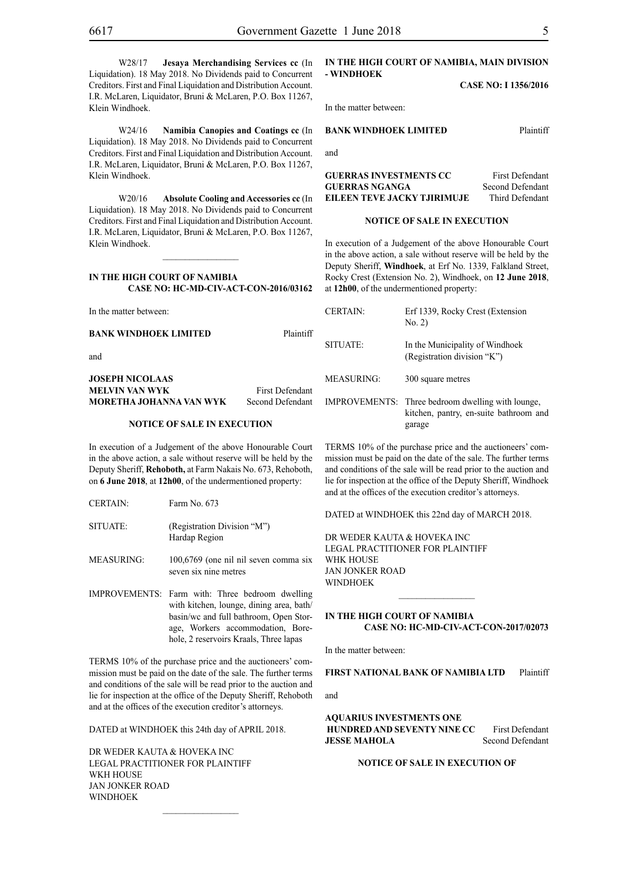W28/17 **Jesaya Merchandising Services cc** (In Liquidation). 18 May 2018. No Dividends paid to Concurrent Creditors. First and Final Liquidation and Distribution Account. I.R. McLaren, Liquidator, Bruni & McLaren, P.O. Box 11267, Klein Windhoek.

W24/16 **Namibia Canopies and Coatings cc** (In Liquidation). 18 May 2018. No Dividends paid to Concurrent Creditors. First and Final Liquidation and Distribution Account. I.R. McLaren, Liquidator, Bruni & McLaren, P.O. Box 11267, Klein Windhoek.

W20/16 **Absolute Cooling and Accessories cc** (In Liquidation). 18 May 2018. No Dividends paid to Concurrent Creditors. First and Final Liquidation and Distribution Account. I.R. McLaren, Liquidator, Bruni & McLaren, P.O. Box 11267, Klein Windhoek.

#### **IN THE HIGH COURT OF NAMIBIA CASE NO: HC-MD-CIV-ACT-CON-2016/03162**

 $\frac{1}{2}$ 

In the matter between:

**BANK WINDHOEK LIMITED** Plaintiff

and

#### **JOSEPH NICOLAAS MELVIN VAN WYK** First Defendant **MORETHA JOHANNA VAN WYK** Second Defendant

#### **NOTICE OF SALE IN EXECUTION**

In execution of a Judgement of the above Honourable Court in the above action, a sale without reserve will be held by the Deputy Sheriff, **Rehoboth,** at Farm Nakais No. 673, Rehoboth, on **6 June 2018**, at **12h00**, of the undermentioned property:

- SITUATE: (Registration Division "M") Hardap Region
- MEASURING: 100,6769 (one nil nil seven comma six seven six nine metres
- IMPROVEMENTS: Farm with: Three bedroom dwelling with kitchen, lounge, dining area, bath/ basin/wc and full bathroom, Open Storage, Workers accommodation, Borehole, 2 reservoirs Kraals, Three lapas

TERMS 10% of the purchase price and the auctioneers' commission must be paid on the date of the sale. The further terms and conditions of the sale will be read prior to the auction and lie for inspection at the office of the Deputy Sheriff, Rehoboth and at the offices of the execution creditor's attorneys.

DATED at WINDHOEK this 24th day of APRIL 2018.

DR WEDER KAUTA & HOVEKA INC Legal Practitioner for Plaintiff WKH HOUSE Jan Jonker Road **WINDHOFK** 

#### **IN THE HIGH COURT OF NAMIBIA, MAIN DIVISION - WINDHOEK**

**CASE NO: I 1356/2016**

In the matter between:

#### **BANK WINDHOEK LIMITED** Plaintiff

and

| <b>GUERRAS INVESTMENTS CC</b> | <b>First Defendant</b> |
|-------------------------------|------------------------|
| <b>GUERRAS NGANGA</b>         | Second Defendant       |
| EILEEN TEVE JACKY TJIRIMUJE   | Third Defendant        |

#### **NOTICE OF SALE IN EXECUTION**

In execution of a Judgement of the above Honourable Court in the above action, a sale without reserve will be held by the Deputy Sheriff, **Windhoek**, at Erf No. 1339, Falkland Street, Rocky Crest (Extension No. 2), Windhoek, on **12 June 2018**, at **12h00**, of the undermentioned property:

| <b>CERTAIN:</b>      | Erf 1339, Rocky Crest (Extension<br>No. 2)                                              |
|----------------------|-----------------------------------------------------------------------------------------|
| SITUATE:             | In the Municipality of Windhoek<br>(Registration division "K")                          |
| <b>MEASURING:</b>    | 300 square metres                                                                       |
| <b>IMPROVEMENTS:</b> | Three bedroom dwelling with lounge,<br>kitchen, pantry, en-suite bathroom and<br>garage |

TERMS 10% of the purchase price and the auctioneers' commission must be paid on the date of the sale. The further terms and conditions of the sale will be read prior to the auction and lie for inspection at the office of the Deputy Sheriff, Windhoek and at the offices of the execution creditor's attorneys.

DATED at WINDHOEK this 22nd day of MARCH 2018.

DR WEDER KAUTA & HOVEKA INC Legal Practitioner for Plaintiff WHK House Jan Jonker Road **WINDHOEK** 

#### **IN THE HIGH COURT OF NAMIBIA CASE NO: HC-MD-CIV-ACT-CON-2017/02073**

 $\frac{1}{2}$ 

In the matter between:

**FIRST NATIONAL BANK OF NAMIBIA LTD** Plaintiff

and

**AQUARIUS INVESTMENTS ONE HUNDRED AND SEVENTY NINE CC** First Defendant **JESSE MAHOLA** Second Defendant

#### **NOTICE OF SALE IN EXECUTION OF**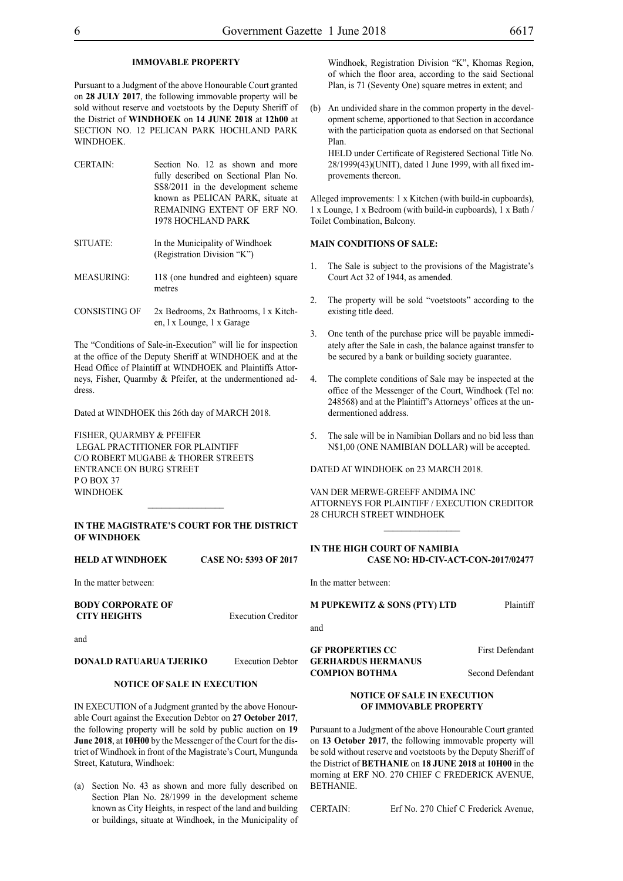#### **IMMOVABLE PROPERTY**

Pursuant to a Judgment of the above Honourable Court granted on **28 JULY 2017**, the following immovable property will be sold without reserve and voetstoots by the Deputy Sheriff of the District of **WINDHOEK** on **14 JUNE 2018** at **12h00** at SECTION NO. 12 PELICAN PARK HOCHLAND PARK WINDHOEK.

- CERTAIN: Section No. 12 as shown and more fully described on Sectional Plan No. SS8/2011 in the development scheme known as PELICAN PARK, situate at REMAINING EXTENT OF ERF NO. 1978 HOCHLAND PARK
- SITUATE: In the Municipality of Windhoek (Registration Division "K")
- MEASURING: 118 (one hundred and eighteen) square metres
- CONSISTING OF 2x Bedrooms, 2x Bathrooms, l x Kitchen, l x Lounge, 1 x Garage

The "Conditions of Sale-in-Execution" will lie for inspection at the office of the Deputy Sheriff at WINDHOEK and at the Head Office of Plaintiff at WINDHOEK and Plaintiffs Attorneys, Fisher, Quarmby & Pfeifer, at the undermentioned address.

Dated at WINDHOEK this 26th day of MARCH 2018.

FISHER, QUARMBY & PFEIFER LEGAL PRACTITIONER FOR Plaintiff c/o Robert Mugabe & Thorer Streets entrance on Burg Street PO BOX 37 **WINDHOEK** 

#### **IN THE MAGISTRATE'S COURT FOR THE DISTRICT OF WINDHOEK**

| <b>HELD AT WINDHOEK</b> | <b>CASE NO: 5393 OF 2017</b> |
|-------------------------|------------------------------|
|                         |                              |

In the matter between:

**BODY CORPORATE OF CITY HEIGHTS** Execution Creditor

and

## **DONALD RATUARUA TJERIKO** Execution Debtor

### **NOTICE OF SALE IN EXECUTION**

IN EXECUTION of a Judgment granted by the above Honourable Court against the Execution Debtor on **27 October 2017**, the following property will be sold by public auction on **19 June 2018**, at **10H00** by the Messenger of the Court for the district of Windhoek in front of the Magistrate's Court, Mungunda Street, Katutura, Windhoek:

(a) Section No. 43 as shown and more fully described on Section Plan No. 28/1999 in the development scheme known as City Heights, in respect of the land and building or buildings, situate at Windhoek, in the Municipality of Windhoek, Registration Division "K", Khomas Region, of which the floor area, according to the said Sectional Plan, is 71 (Seventy One) square metres in extent; and

(b) An undivided share in the common property in the development scheme, apportioned to that Section in accordance with the participation quota as endorsed on that Sectional Plan.

HELD under Certificate of Registered Sectional Title No. 28/1999(43)(UNIT), dated 1 June 1999, with all fixed improvements thereon.

Alleged improvements: 1 x Kitchen (with build-in cupboards), 1 x Lounge, 1 x Bedroom (with build-in cupboards), 1 x Bath / Toilet Combination, Balcony.

#### **MAIN CONDITIONS OF SALE:**

- 1. The Sale is subject to the provisions of the Magistrate's Court Act 32 of 1944, as amended.
- 2. The property will be sold "voetstoots" according to the existing title deed.
- 3. One tenth of the purchase price will be payable immediately after the Sale in cash, the balance against transfer to be secured by a bank or building society guarantee.
- The complete conditions of Sale may be inspected at the office of the Messenger of the Court, Windhoek (Tel no: 248568) and at the Plaintiff's Attorneys' offices at the undermentioned address.
- 5. The sale will be in Namibian Dollars and no bid less than N\$1,00 (ONE NAMIBIAN DOLLAR) will be accepted.

DATED AT WINDHOEK on 23 MARCH 2018.

VAN DER MERWE-GREEFF ANDIMA INC ATTORNEYS FOR Plaintiff / EXECUTION CREDITOR 28 CHURCH STREET WINDHOEK

### **IN THE HIGH COURT OF NAMIBIA CASE NO: HD-CIV-ACT-CON-2017/02477**

In the matter between:

**M PUPKEWITZ & SONS (PTY) LTD** Plaintiff

and

**GF PROPERTIES CC** First Defendant **GERHARDUS HERMANUS COMPION BOTHMA** Second Defendant

#### **NOTICE OF SALE IN EXECUTION OF IMMOVABLE PROPERTY**

Pursuant to a Judgment of the above Honourable Court granted on **13 October 2017**, the following immovable property will be sold without reserve and voetstoots by the Deputy Sheriff of the District of **BETHANIE** on **18 JUNE 2018** at **10H00** in the morning at ERF NO. 270 CHIEF C FREDERICK AVENUE, BETHANIE.

CERTAIN: Erf No. 270 Chief C Frederick Avenue,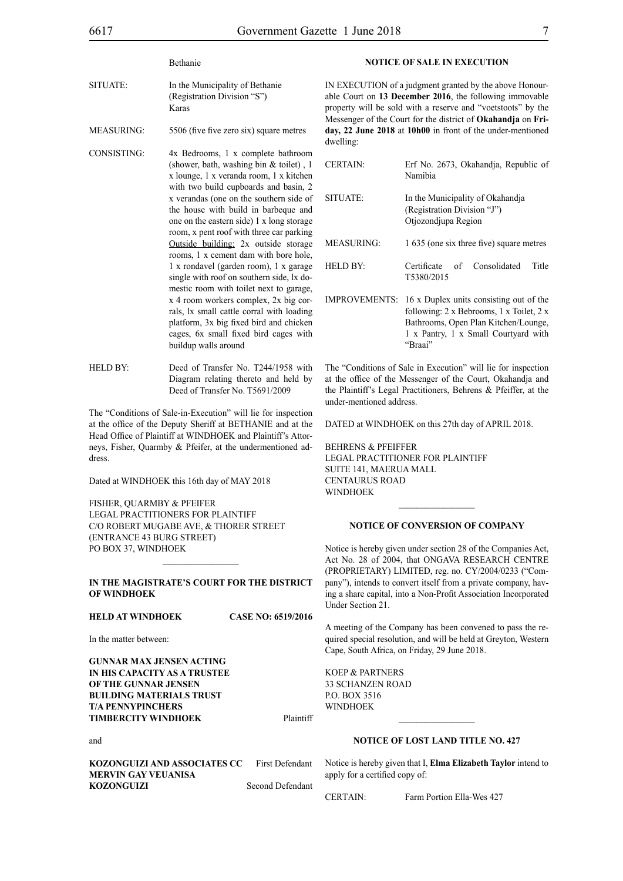Bethanie

- SITUATE: In the Municipality of Bethanie (Registration Division "S") Karas
- MEASURING: 5506 (five five zero six) square metres
- CONSISTING: 4x Bedrooms, 1 x complete bathroom (shower, bath, washing bin & toilet) , 1 x lounge, 1 x veranda room, 1 x kitchen with two build cupboards and basin, 2 x verandas (one on the southern side of the house with build in barbeque and one on the eastern side) 1 x long storage room, x pent roof with three car parking Outside building: 2x outside storage rooms, 1 x cement dam with bore hole, 1 x rondavel (garden room), 1 x garage single with roof on southern side, lx domestic room with toilet next to garage, x 4 room workers complex, 2x big corrals, lx small cattle corral with loading platform, 3x big fixed bird and chicken cages, 6x small fixed bird cages with buildup walls around
- HELD BY: Deed of Transfer No. T244/1958 with Diagram relating thereto and held by Deed of Transfer No. T5691/2009

The "Conditions of Sale-in-Execution" will lie for inspection at the office of the Deputy Sheriff at BETHANIE and at the Head Office of Plaintiff at WINDHOEK and Plaintiff's Attorneys, Fisher, Quarmby & Pfeifer, at the undermentioned address.

Dated at WINDHOEK this 16th day of MAY 2018

FISHER, QUARMBY & PFEIFER Legal Practitioners for Plaintiff C/O Robert Mugabe Ave, & Thorer Street (Entrance 43 Burg Street) PO Box 37, WINDHOEK

#### **IN THE MAGISTRATE'S COURT FOR THE DISTRICT OF WINDHOEK**

 $\frac{1}{2}$ 

#### **HELD AT WINDHOEK CASE NO: 6519/2016**

In the matter between:

**GUNNAR MAX JENSEN ACTING IN HIS CAPACITY AS A TRUSTEE OF THE GUNNAR JENSEN BUILDING MATERIALS TRUST T/A PENNYPINCHERS TIMBERCITY WINDHOEK** Plaintiff

#### and

**KOZONGUIZI AND ASSOCIATES CC** First Defendant **MERVIN GAY VEUANISA KOZONGUIZI** Second Defendant **NOTICE OF SALE IN EXECUTION**

IN EXECUTION of a judgment granted by the above Honourable Court on **13 December 2016**, the following immovable property will be sold with a reserve and "voetstoots" by the Messenger of the Court for the district of **Okahandja** on **Friday, 22 June 2018** at **10h00** in front of the under-mentioned dwelling:

| <b>CERTAIN:</b>      | Erf No. 2673, Okahandja, Republic of<br>Namibia                                                                                                                     |
|----------------------|---------------------------------------------------------------------------------------------------------------------------------------------------------------------|
| SITUATE:             | In the Municipality of Okahandia<br>(Registration Division "J")<br>Otjozondjupa Region                                                                              |
| <b>MEASURING:</b>    | 1 635 (one six three five) square metres                                                                                                                            |
| <b>HELD BY:</b>      | Title<br>Certificate of<br>Consolidated<br>T5380/2015                                                                                                               |
| <b>IMPROVEMENTS:</b> | 16 x Duplex units consisting out of the<br>following: 2 x Bebrooms, 1 x Toilet, 2 x<br>Bathrooms, Open Plan Kitchen/Lounge,<br>1 x Pantry, 1 x Small Courtyard with |

The "Conditions of Sale in Execution" will lie for inspection at the office of the Messenger of the Court, Okahandja and the Plaintiff's Legal Practitioners, Behrens & Pfeiffer, at the under-mentioned address.

"Braai"

DATED at WINDHOEK on this 27th day of APRIL 2018.

BEHRENS & PFEIFFER LEGAL PRACTITIONER FOR Plaintiff SUITE 141, MAERUA MALL CENTAURUS ROAD **WINDHOEK** 

#### **NOTICE OF CONVERSION OF COMPANY**

Notice is hereby given under section 28 of the Companies Act, Act No. 28 of 2004, that ONGAVA RESEARCH CENTRE (PROPRIETARY) LIMITED, reg. no. CY/2004/0233 ("Company"), intends to convert itself from a private company, having a share capital, into a Non-Profit Association Incorporated Under Section 21.

A meeting of the Company has been convened to pass the required special resolution, and will be held at Greyton, Western Cape, South Africa, on Friday, 29 June 2018.

KOEP & PARTNERS 33 Schanzen Road P.O. Box 3516 **WINDHOEK** 

# **NOTICE OF LOST LAND TITLE NO. 427**

 $\frac{1}{2}$ 

Notice is hereby given that I, **Elma Elizabeth Taylor** intend to apply for a certified copy of:

CERTAIN: Farm Portion Ella-Wes 427